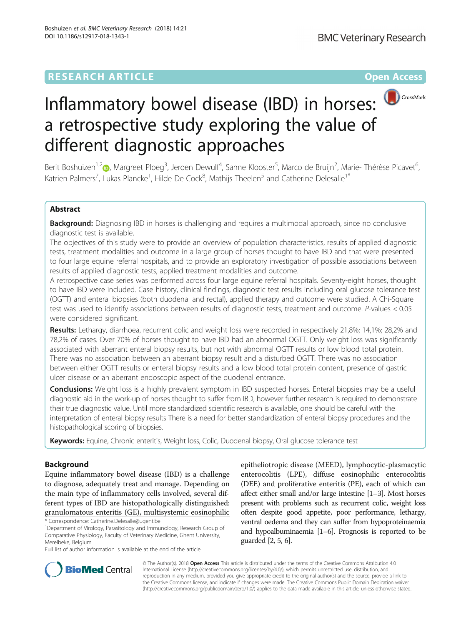# **RESEARCH ARTICLE Example 2018 12:00 Department of the Contract Open Access**



# Inflammatory bowel disease (IBD) in horses: a retrospective study exploring the value of different diagnostic approaches

Berit Boshuizen<sup>1[,](http://orcid.org/0000-0002-9841-9269)2</sup>®, Margreet Ploeg<sup>3</sup>, Jeroen Dewulf<sup>4</sup>, Sanne Klooster<sup>5</sup>, Marco de Bruijn<sup>2</sup>, Marie- Thérèse Picavet<sup>6</sup> .<br>, Katrien Palmers<sup>7</sup>, Lukas Plancke<sup>1</sup>, Hilde De Cock<sup>8</sup>, Mathijs Theelen<sup>5</sup> and Catherine Delesalle<sup>1\*</sup>

# Abstract

Background: Diagnosing IBD in horses is challenging and requires a multimodal approach, since no conclusive diagnostic test is available.

The objectives of this study were to provide an overview of population characteristics, results of applied diagnostic tests, treatment modalities and outcome in a large group of horses thought to have IBD and that were presented to four large equine referral hospitals, and to provide an exploratory investigation of possible associations between results of applied diagnostic tests, applied treatment modalities and outcome.

A retrospective case series was performed across four large equine referral hospitals. Seventy-eight horses, thought to have IBD were included. Case history, clinical findings, diagnostic test results including oral glucose tolerance test (OGTT) and enteral biopsies (both duodenal and rectal), applied therapy and outcome were studied. A Chi-Square test was used to identify associations between results of diagnostic tests, treatment and outcome. P-values < 0.05 were considered significant.

Results: Lethargy, diarrhoea, recurrent colic and weight loss were recorded in respectively 21,8%; 14,1%; 28,2% and 78,2% of cases. Over 70% of horses thought to have IBD had an abnormal OGTT. Only weight loss was significantly associated with aberrant enteral biopsy results, but not with abnormal OGTT results or low blood total protein. There was no association between an aberrant biopsy result and a disturbed OGTT. There was no association between either OGTT results or enteral biopsy results and a low blood total protein content, presence of gastric ulcer disease or an aberrant endoscopic aspect of the duodenal entrance.

**Conclusions:** Weight loss is a highly prevalent symptom in IBD suspected horses. Enteral biopsies may be a useful diagnostic aid in the work-up of horses thought to suffer from IBD, however further research is required to demonstrate their true diagnostic value. Until more standardized scientific research is available, one should be careful with the interpretation of enteral biopsy results There is a need for better standardization of enteral biopsy procedures and the histopathological scoring of biopsies.

Keywords: Equine, Chronic enteritis, Weight loss, Colic, Duodenal biopsy, Oral glucose tolerance test

# Background

Equine inflammatory bowel disease (IBD) is a challenge to diagnose, adequately treat and manage. Depending on the main type of inflammatory cells involved, several different types of IBD are histopathologically distinguished: granulomatous enteritis (GE), multisystemic eosinophilic

\* Correspondence: [Catherine.Delesalle@ugent.be](mailto:Catherine.Delesalle@ugent.be)

epitheliotropic disease (MEED), lymphocytic-plasmacytic enterocolitis (LPE), diffuse eosinophilic enterocolitis (DEE) and proliferative enteritis (PE), each of which can affect either small and/or large intestine [\[1](#page-7-0)–[3](#page-7-0)]. Most horses present with problems such as recurrent colic, weight loss often despite good appetite, poor performance, lethargy, ventral oedema and they can suffer from hypoproteinaemia and hypoalbuminaemia [\[1](#page-7-0)–[6](#page-7-0)]. Prognosis is reported to be guarded [\[2](#page-7-0), [5](#page-7-0), [6\]](#page-7-0).



© The Author(s). 2018 Open Access This article is distributed under the terms of the Creative Commons Attribution 4.0 International License [\(http://creativecommons.org/licenses/by/4.0/](http://creativecommons.org/licenses/by/4.0/)), which permits unrestricted use, distribution, and reproduction in any medium, provided you give appropriate credit to the original author(s) and the source, provide a link to the Creative Commons license, and indicate if changes were made. The Creative Commons Public Domain Dedication waiver [\(http://creativecommons.org/publicdomain/zero/1.0/](http://creativecommons.org/publicdomain/zero/1.0/)) applies to the data made available in this article, unless otherwise stated.

<sup>&</sup>lt;sup>1</sup>Department of Virology, Parasitology and Immunology, Research Group of Comparative Physiology, Faculty of Veterinary Medicine, Ghent University, Merelbeke, Belgium

Full list of author information is available at the end of the article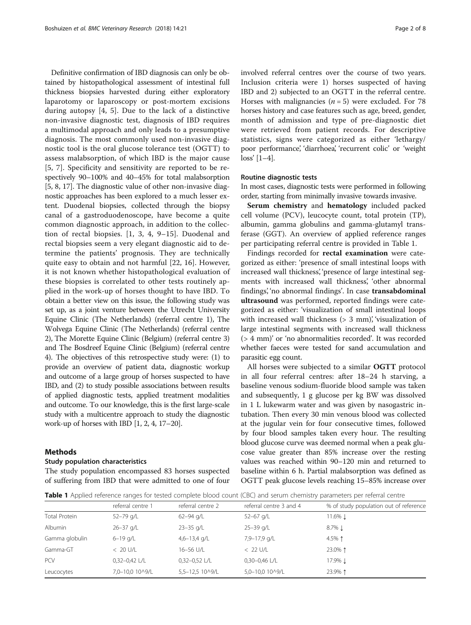Definitive confirmation of IBD diagnosis can only be obtained by histopathological assessment of intestinal full thickness biopsies harvested during either exploratory laparotomy or laparoscopy or post-mortem excisions during autopsy [[4](#page-7-0), [5](#page-7-0)]. Due to the lack of a distinctive non-invasive diagnostic test, diagnosis of IBD requires a multimodal approach and only leads to a presumptive diagnosis. The most commonly used non-invasive diagnostic tool is the oral glucose tolerance test (OGTT) to assess malabsorption, of which IBD is the major cause [[5, 7](#page-7-0)]. Specificity and sensitivity are reported to be respectively 90–100% and 40–45% for total malabsorption [[5, 8](#page-7-0), [17\]](#page-7-0). The diagnostic value of other non-invasive diagnostic approaches has been explored to a much lesser extent. Duodenal biopsies, collected through the biopsy canal of a gastroduodenoscope, have become a quite common diagnostic approach, in addition to the collection of rectal biopsies. [[1, 3, 4, 9](#page-7-0)–[15\]](#page-7-0). Duodenal and rectal biopsies seem a very elegant diagnostic aid to determine the patients' prognosis. They are technically quite easy to obtain and not harmful [[22, 16](#page-7-0)]. However, it is not known whether histopathological evaluation of these biopsies is correlated to other tests routinely applied in the work-up of horses thought to have IBD. To obtain a better view on this issue, the following study was set up, as a joint venture between the Utrecht University Equine Clinic (The Netherlands) (referral centre 1), The Wolvega Equine Clinic (The Netherlands) (referral centre 2), The Morette Equine Clinic (Belgium) (referral centre 3) and The Bosdreef Equine Clinic (Belgium) (referral centre 4). The objectives of this retrospective study were: (1) to provide an overview of patient data, diagnostic workup and outcome of a large group of horses suspected to have IBD, and (2) to study possible associations between results of applied diagnostic tests, applied treatment modalities and outcome. To our knowledge, this is the first large-scale study with a multicentre approach to study the diagnostic work-up of horses with IBD  $[1, 2, 4, 17-20]$  $[1, 2, 4, 17-20]$  $[1, 2, 4, 17-20]$  $[1, 2, 4, 17-20]$  $[1, 2, 4, 17-20]$  $[1, 2, 4, 17-20]$  $[1, 2, 4, 17-20]$  $[1, 2, 4, 17-20]$ .

# Methods

# Study population characteristics

The study population encompassed 83 horses suspected of suffering from IBD that were admitted to one of four

involved referral centres over the course of two years. Inclusion criteria were 1) horses suspected of having IBD and 2) subjected to an OGTT in the referral centre. Horses with malignancies  $(n = 5)$  were excluded. For 78 horses history and case features such as age, breed, gender, month of admission and type of pre-diagnostic diet were retrieved from patient records. For descriptive statistics, signs were categorized as either 'lethargy/ poor performance', 'diarrhoea', 'recurrent colic' or 'weight loss' [\[1](#page-7-0)–[4\]](#page-7-0).

#### Routine diagnostic tests

In most cases, diagnostic tests were performed in following order, starting from minimally invasive towards invasive.

Serum chemistry and hematology included packed cell volume (PCV), leucocyte count, total protein (TP), albumin, gamma globulins and gamma-glutamyl transferase (GGT). An overview of applied reference ranges per participating referral centre is provided in Table 1.

Findings recorded for rectal examination were categorized as either: 'presence of small intestinal loops with increased wall thickness', 'presence of large intestinal segments with increased wall thickness', 'other abnormal findings', 'no abnormal findings'. In case transabdominal ultrasound was performed, reported findings were categorized as either: 'visualization of small intestinal loops with increased wall thickness (> 3 mm), 'visualization of large intestinal segments with increased wall thickness (> 4 mm)' or 'no abnormalities recorded'. It was recorded whether faeces were tested for sand accumulation and parasitic egg count.

All horses were subjected to a similar OGTT protocol in all four referral centres: after 18–24 h starving, a baseline venous sodium-fluoride blood sample was taken and subsequently, 1 g glucose per kg BW was dissolved in 1 L lukewarm water and was given by nasogastric intubation. Then every 30 min venous blood was collected at the jugular vein for four consecutive times, followed by four blood samples taken every hour. The resulting blood glucose curve was deemed normal when a peak glucose value greater than 85% increase over the resting values was reached within 90–120 min and returned to baseline within 6 h. Partial malabsorption was defined as OGTT peak glucose levels reaching 15–85% increase over

Table 1 Applied reference ranges for tested complete blood count (CBC) and serum chemistry parameters per referral centre

|                      | referral centre 1 | referral centre 2 | referral centre 3 and 4 | % of study population out of reference |
|----------------------|-------------------|-------------------|-------------------------|----------------------------------------|
| <b>Total Protein</b> | 52-79 g/L         | $62 - 94$ g/L     | 52-67 $q/L$             | $11.6\%$ $\perp$                       |
| Albumin              | 26-37 g/L         | $23 - 35$ g/L     | 25-39 g/L               | $8.7\%$ $\downarrow$                   |
| Gamma globulin       | $6 - 19$ g/L      | 4,6-13,4 $q/L$    | 7,9-17,9 g/L            | 4.5% 1                                 |
| Gamma-GT             | $< 20$ U/L        | 16–56 U/L         | $< 22$ U/L              | 23.0% 1                                |
| <b>PCV</b>           | $0.32 - 0.42$ L/L | $0,32-0,52$ L/L   | $0.30 - 0.46$ L/L       | 17.9% L                                |
| Leucocytes           | 7,0-10,0 10^9/L   | 5,5-12,5 10^9/L   | 5,0-10,0 10^9/L         | 23.9% 1                                |
|                      |                   |                   |                         |                                        |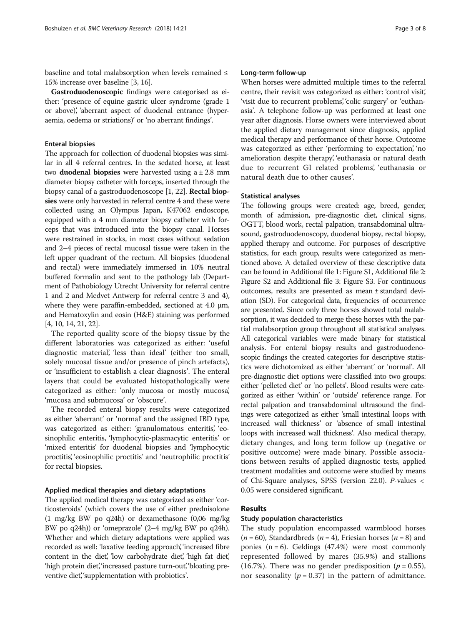baseline and total malabsorption when levels remained ≤ 15% increase over baseline [\[3](#page-7-0), [16\]](#page-7-0).

Gastroduodenoscopic findings were categorised as either: 'presence of equine gastric ulcer syndrome (grade 1 or above), 'aberrant aspect of duodenal entrance (hyperaemia, oedema or striations)' or 'no aberrant findings'.

## Enteral biopsies

The approach for collection of duodenal biopsies was similar in all 4 referral centres. In the sedated horse, at least two **duodenal biopsies** were harvested using  $a \pm 2.8$  mm diameter biopsy catheter with forceps, inserted through the biopsy canal of a gastroduodenoscope [\[1](#page-7-0), [22](#page-7-0)]. Rectal biopsies were only harvested in referral centre 4 and these were collected using an Olympus Japan, K47062 endoscope, equipped with a 4 mm diameter biopsy catheter with forceps that was introduced into the biopsy canal. Horses were restrained in stocks, in most cases without sedation and 2–4 pieces of rectal mucosal tissue were taken in the left upper quadrant of the rectum. All biopsies (duodenal and rectal) were immediately immersed in 10% neutral buffered formalin and sent to the pathology lab (Department of Pathobiology Utrecht University for referral centre 1 and 2 and Medvet Antwerp for referral centre 3 and 4), where they were paraffin-embedded, sectioned at 4.0 μm, and Hematoxylin and eosin (H&E) staining was performed [[4](#page-7-0), [10, 14, 21, 22](#page-7-0)].

The reported quality score of the biopsy tissue by the different laboratories was categorized as either: 'useful diagnostic material', 'less than ideal' (either too small, solely mucosal tissue and/or presence of pinch artefacts), or 'insufficient to establish a clear diagnosis'. The enteral layers that could be evaluated histopathologically were categorized as either: 'only mucosa or mostly mucosa', 'mucosa and submucosa' or 'obscure'.

The recorded enteral biopsy results were categorized as either 'aberrant' or 'normal' and the assigned IBD type, was categorized as either: 'granulomatous enteritis', 'eosinophilic enteritis, 'lymphocytic-plasmacytic enteritis' or 'mixed enteritis' for duodenal biopsies and 'lymphocytic proctitis', 'eosinophilic proctitis' and 'neutrophilic proctitis' for rectal biopsies.

#### Applied medical therapies and dietary adaptations

The applied medical therapy was categorized as either 'corticosteroids' (which covers the use of either prednisolone (1 mg/kg BW po q24h) or dexamethasone (0,06 mg/kg BW po q24h)) or 'omeprazole' (2–4 mg/kg BW po q24h). Whether and which dietary adaptations were applied was recorded as well: 'laxative feeding approach,' 'increased fibre content in the diet,' 'low carbohydrate diet,' 'high fat diet,' 'high protein diet,' 'increased pasture turn-out,' 'bloating preventive diet, 'supplementation with probiotics'.

## Long-term follow-up

When horses were admitted multiple times to the referral centre, their revisit was categorized as either: 'control visit', 'visit due to recurrent problems', 'colic surgery' or 'euthanasia'. A telephone follow-up was performed at least one year after diagnosis. Horse owners were interviewed about the applied dietary management since diagnosis, applied medical therapy and performance of their horse. Outcome was categorized as either 'performing to expectation', 'no amelioration despite therapy', 'euthanasia or natural death due to recurrent GI related problems', 'euthanasia or natural death due to other causes'.

# Statistical analyses

The following groups were created: age, breed, gender, month of admission, pre-diagnostic diet, clinical signs, OGTT, blood work, rectal palpation, transabdominal ultrasound, gastroduodenoscopy, duodenal biopsy, rectal biopsy, applied therapy and outcome. For purposes of descriptive statistics, for each group, results were categorized as mentioned above. A detailed overview of these descriptive data can be found in Additional file [1](#page-6-0): Figure S1, Additional file [2](#page-6-0): Figure S2 and Additional file [3:](#page-6-0) Figure S3. For continuous outcomes, results are presented as mean ± standard deviation (SD). For categorical data, frequencies of occurrence are presented. Since only three horses showed total malabsorption, it was decided to merge these horses with the partial malabsorption group throughout all statistical analyses. All categorical variables were made binary for statistical analysis. For enteral biopsy results and gastroduodenoscopic findings the created categories for descriptive statistics were dichotomized as either 'aberrant' or 'normal'. All pre-diagnostic diet options were classified into two groups: either 'pelleted diet' or 'no pellets'. Blood results were categorized as either 'within' or 'outside' reference range. For rectal palpation and transabdominal ultrasound the findings were categorized as either 'small intestinal loops with increased wall thickness' or 'absence of small intestinal loops with increased wall thickness'. Also medical therapy, dietary changes, and long term follow up (negative or positive outcome) were made binary. Possible associations between results of applied diagnostic tests, applied treatment modalities and outcome were studied by means of Chi-Square analyses, SPSS (version 22.0). P-values < 0.05 were considered significant.

# Results

## Study population characteristics

The study population encompassed warmblood horses  $(n = 60)$ , Standardbreds  $(n = 4)$ , Friesian horses  $(n = 8)$  and ponies  $(n = 6)$ . Geldings  $(47.4%)$  were most commonly represented followed by mares (35.9%) and stallions (16.7%). There was no gender predisposition ( $p = 0.55$ ), nor seasonality ( $p = 0.37$ ) in the pattern of admittance.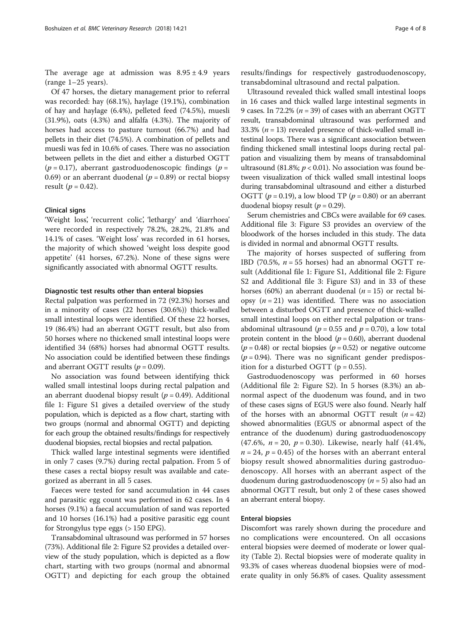The average age at admission was  $8.95 \pm 4.9$  years (range 1–25 years).

Of 47 horses, the dietary management prior to referral was recorded: hay (68.1%), haylage (19.1%), combination of hay and haylage (6.4%), pelleted feed (74.5%), muesli (31.9%), oats (4.3%) and alfalfa (4.3%). The majority of horses had access to pasture turnout (66.7%) and had pellets in their diet (74.5%). A combination of pellets and muesli was fed in 10.6% of cases. There was no association between pellets in the diet and either a disturbed OGTT  $(p = 0.17)$ , aberrant gastroduodenoscopic findings  $(p = 0.17)$ 0.69) or an aberrant duodenal ( $p = 0.89$ ) or rectal biopsy result ( $p = 0.42$ ).

#### Clinical signs

'Weight loss', 'recurrent colic', 'lethargy' and 'diarrhoea' were recorded in respectively 78.2%, 28.2%, 21.8% and 14.1% of cases. 'Weight loss' was recorded in 61 horses, the majority of which showed 'weight loss despite good appetite' (41 horses, 67.2%). None of these signs were significantly associated with abnormal OGTT results.

#### Diagnostic test results other than enteral biopsies

Rectal palpation was performed in 72 (92.3%) horses and in a minority of cases (22 horses (30.6%)) thick-walled small intestinal loops were identified. Of these 22 horses, 19 (86.4%) had an aberrant OGTT result, but also from 50 horses where no thickened small intestinal loops were identified 34 (68%) horses had abnormal OGTT results. No association could be identified between these findings and aberrant OGTT results ( $p = 0.09$ ).

No association was found between identifying thick walled small intestinal loops during rectal palpation and an aberrant duodenal biopsy result ( $p = 0.49$ ). Additional file [1](#page-6-0): Figure S1 gives a detailed overview of the study population, which is depicted as a flow chart, starting with two groups (normal and abnormal OGTT) and depicting for each group the obtained results/findings for respectively duodenal biopsies, rectal biopsies and rectal palpation.

Thick walled large intestinal segments were identified in only 7 cases (9.7%) during rectal palpation. From 5 of these cases a rectal biopsy result was available and categorized as aberrant in all 5 cases.

Faeces were tested for sand accumulation in 44 cases and parasitic egg count was performed in 62 cases. In 4 horses (9.1%) a faecal accumulation of sand was reported and 10 horses (16.1%) had a positive parasitic egg count for Strongylus type eggs (> 150 EPG).

Transabdominal ultrasound was performed in 57 horses (73%). Additional file [2](#page-6-0): Figure S2 provides a detailed overview of the study population, which is depicted as a flow chart, starting with two groups (normal and abnormal OGTT) and depicting for each group the obtained

results/findings for respectively gastroduodenoscopy, transabdominal ultrasound and rectal palpation.

Ultrasound revealed thick walled small intestinal loops in 16 cases and thick walled large intestinal segments in 9 cases. In 72.2% ( $n = 39$ ) of cases with an aberrant OGTT result, transabdominal ultrasound was performed and 33.3% ( $n = 13$ ) revealed presence of thick-walled small intestinal loops. There was a significant association between finding thickened small intestinal loops during rectal palpation and visualizing them by means of transabdominal ultrasound (81.8%;  $p < 0.01$ ). No association was found between visualization of thick walled small intestinal loops during transabdominal ultrasound and either a disturbed OGTT ( $p = 0.19$ ), a low blood TP ( $p = 0.80$ ) or an aberrant duodenal biopsy result ( $p = 0.29$ ).

Serum chemistries and CBCs were available for 69 cases. Additional file [3](#page-6-0): Figure S3 provides an overview of the bloodwork of the horses included in this study. The data is divided in normal and abnormal OGTT results.

The majority of horses suspected of suffering from IBD (70.5%,  $n = 55$  horses) had an abnormal OGTT result (Additional file [1](#page-6-0): Figure S1, Additional file [2:](#page-6-0) Figure S2 and Additional file [3:](#page-6-0) Figure S3) and in 33 of these horses (60%) an aberrant duodenal  $(n = 15)$  or rectal biopsy  $(n = 21)$  was identified. There was no association between a disturbed OGTT and presence of thick-walled small intestinal loops on either rectal palpation or transabdominal ultrasound ( $p = 0.55$  and  $p = 0.70$ ), a low total protein content in the blood ( $p = 0.60$ ), aberrant duodenal  $(p = 0.48)$  or rectal biopsies  $(p = 0.52)$  or negative outcome  $(p = 0.94)$ . There was no significant gender predisposition for a disturbed OGTT ( $p = 0.55$ ).

Gastroduodenoscopy was performed in 60 horses (Additional file [2](#page-6-0): Figure S2). In 5 horses (8.3%) an abnormal aspect of the duodenum was found, and in two of these cases signs of EGUS were also found. Nearly half of the horses with an abnormal OGTT result  $(n = 42)$ showed abnormalities (EGUS or abnormal aspect of the entrance of the duodenum) during gastroduodenoscopy (47.6%,  $n = 20$ ,  $p = 0.30$ ). Likewise, nearly half (41.4%,  $n = 24$ ,  $p = 0.45$ ) of the horses with an aberrant enteral biopsy result showed abnormalities during gastroduodenoscopy. All horses with an aberrant aspect of the duodenum during gastroduodenoscopy ( $n = 5$ ) also had an abnormal OGTT result, but only 2 of these cases showed an aberrant enteral biopsy.

#### Enteral biopsies

Discomfort was rarely shown during the procedure and no complications were encountered. On all occasions enteral biopsies were deemed of moderate or lower quality (Table [2\)](#page-4-0). Rectal biopsies were of moderate quality in 93.3% of cases whereas duodenal biopsies were of moderate quality in only 56.8% of cases. Quality assessment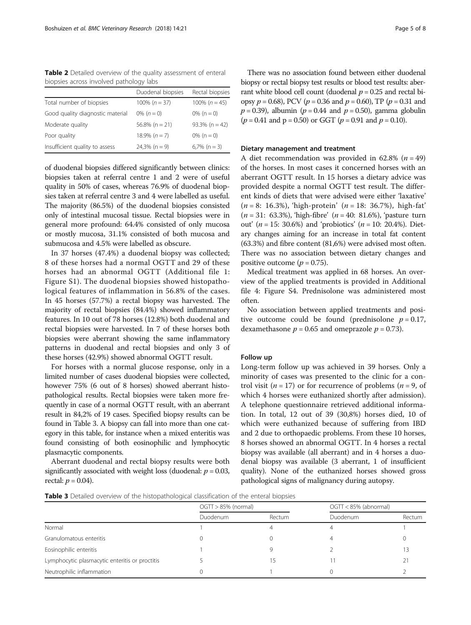<span id="page-4-0"></span>Table 2 Detailed overview of the quality assessment of enteral biopsies across involved pathology labs

|                                  | Duodenal biopsies  | Rectal biopsies   |
|----------------------------------|--------------------|-------------------|
| Total number of biopsies         | $100\% (n = 37)$   | 100% $(n = 45)$   |
| Good quality diagnostic material | 0% $(n = 0)$       | 0% ( $n = 0$ )    |
| Moderate quality                 | 56.8% ( $n = 21$ ) | $93.3\%$ (n = 42) |
| Poor quality                     | $18.9\% (n = 7)$   | $0\%$ (n = 0)     |
| Insufficient quality to assess   | $24,3\%$ (n = 9)   | $6,7\%$ (n = 3)   |

of duodenal biopsies differed significantly between clinics: biopsies taken at referral centre 1 and 2 were of useful quality in 50% of cases, whereas 76.9% of duodenal biopsies taken at referral centre 3 and 4 were labelled as useful. The majority (86.5%) of the duodenal biopsies consisted only of intestinal mucosal tissue. Rectal biopsies were in general more profound: 64.4% consisted of only mucosa or mostly mucosa, 31.1% consisted of both mucosa and submucosa and 4.5% were labelled as obscure.

In 37 horses (47.4%) a duodenal biopsy was collected; 8 of these horses had a normal OGTT and 29 of these horses had an abnormal OGTT (Additional file [1](#page-6-0): Figure S1). The duodenal biopsies showed histopathological features of inflammation in 56.8% of the cases. In 45 horses (57.7%) a rectal biopsy was harvested. The majority of rectal biopsies (84.4%) showed inflammatory features. In 10 out of 78 horses (12.8%) both duodenal and rectal biopsies were harvested. In 7 of these horses both biopsies were aberrant showing the same inflammatory patterns in duodenal and rectal biopsies and only 3 of these horses (42.9%) showed abnormal OGTT result.

For horses with a normal glucose response, only in a limited number of cases duodenal biopsies were collected, however 75% (6 out of 8 horses) showed aberrant histopathological results. Rectal biopsies were taken more frequently in case of a normal OGTT result, with an aberrant result in 84,2% of 19 cases. Specified biopsy results can be found in Table 3. A biopsy can fall into more than one category in this table, for instance when a mixed enteritis was found consisting of both eosinophilic and lymphocytic plasmacytic components.

Aberrant duodenal and rectal biopsy results were both significantly associated with weight loss (duodenal:  $p = 0.03$ , rectal:  $p = 0.04$ ).

There was no association found between either duodenal biopsy or rectal biopsy test results or blood test results: aberrant white blood cell count (duodenal  $p = 0.25$  and rectal biopsy  $p = 0.68$ ), PCV ( $p = 0.36$  and  $p = 0.60$ ), TP ( $p = 0.31$  and  $p = 0.39$ ), albumin ( $p = 0.44$  and  $p = 0.50$ ), gamma globulin  $(p = 0.41$  and  $p = 0.50$  or GGT  $(p = 0.91$  and  $p = 0.10$ ).

#### Dietary management and treatment

A diet recommendation was provided in 62.8% ( $n = 49$ ) of the horses. In most cases it concerned horses with an aberrant OGTT result. In 15 horses a dietary advice was provided despite a normal OGTT test result. The different kinds of diets that were advised were either 'laxative'  $(n = 8: 16.3\%)$ , 'high-protein'  $(n = 18: 36.7\%)$ , high-fat'  $(n = 31: 63.3\%)$ , 'high-fibre'  $(n = 40: 81.6\%)$ , 'pasture turn out' ( $n = 15$ : 30.6%) and 'probiotics' ( $n = 10$ : 20.4%). Dietary changes aiming for an increase in total fat content (63.3%) and fibre content (81,6%) were advised most often. There was no association between dietary changes and positive outcome ( $p = 0.75$ ).

Medical treatment was applied in 68 horses. An overview of the applied treatments is provided in Additional file [4](#page-6-0): Figure S4. Prednisolone was administered most often.

No association between applied treatments and positive outcome could be found (prednisolone  $p = 0.17$ , dexamethasone  $p = 0.65$  and omeprazole  $p = 0.73$ ).

# Follow up

Long-term follow up was achieved in 39 horses. Only a minority of cases was presented to the clinic for a control visit ( $n = 17$ ) or for recurrence of problems ( $n = 9$ , of which 4 horses were euthanized shortly after admission). A telephone questionnaire retrieved additional information. In total, 12 out of 39 (30,8%) horses died, 10 of which were euthanized because of suffering from IBD and 2 due to orthopaedic problems. From these 10 horses, 8 horses showed an abnormal OGTT. In 4 horses a rectal biopsy was available (all aberrant) and in 4 horses a duodenal biopsy was available (3 aberrant, 1 of insufficient quality). None of the euthanized horses showed gross pathological signs of malignancy during autopsy.

Table 3 Detailed overview of the histopathological classification of the enteral biopsies

|                                                | $OGT > 85\%$ (normal) |        | OGTT < 85% (abnormal) |        |
|------------------------------------------------|-----------------------|--------|-----------------------|--------|
|                                                | Duodenum              | Rectum | Duodenum              | Rectum |
| Normal                                         |                       | 4      |                       |        |
| Granulomatous enteritis                        |                       |        | 4                     |        |
| Eosinophilic enteritis                         |                       |        |                       |        |
| Lymphocytic plasmacytic enteritis or proctitis |                       |        |                       |        |
| Neutrophilic inflammation                      |                       |        |                       |        |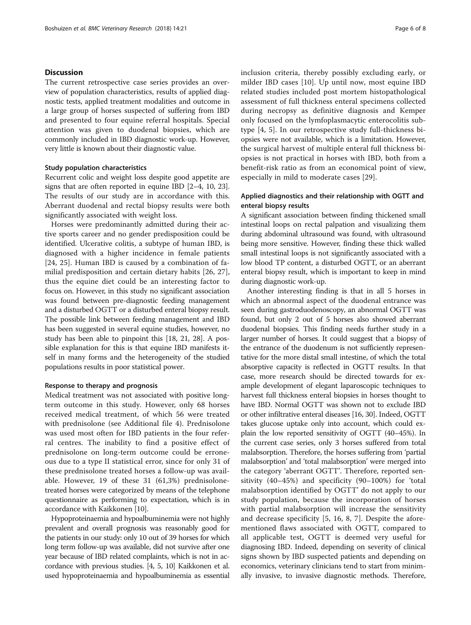# **Discussion**

The current retrospective case series provides an overview of population characteristics, results of applied diagnostic tests, applied treatment modalities and outcome in a large group of horses suspected of suffering from IBD and presented to four equine referral hospitals. Special attention was given to duodenal biopsies, which are commonly included in IBD diagnostic work-up. However, very little is known about their diagnostic value.

## Study population characteristics

Recurrent colic and weight loss despite good appetite are signs that are often reported in equine IBD [[2](#page-7-0)–[4](#page-7-0), [10](#page-7-0), [23](#page-7-0)]. The results of our study are in accordance with this. Aberrant duodenal and rectal biopsy results were both significantly associated with weight loss.

Horses were predominantly admitted during their active sports career and no gender predisposition could be identified. Ulcerative colitis, a subtype of human IBD, is diagnosed with a higher incidence in female patients [[24, 25\]](#page-7-0). Human IBD is caused by a combination of familial predisposition and certain dietary habits [[26, 27](#page-7-0)], thus the equine diet could be an interesting factor to focus on. However, in this study no significant association was found between pre-diagnostic feeding management and a disturbed OGTT or a disturbed enteral biopsy result. The possible link between feeding management and IBD has been suggested in several equine studies, however, no study has been able to pinpoint this [[18](#page-7-0), [21, 28](#page-7-0)]. A possible explanation for this is that equine IBD manifests itself in many forms and the heterogeneity of the studied populations results in poor statistical power.

#### Response to therapy and prognosis

Medical treatment was not associated with positive longterm outcome in this study. However, only 68 horses received medical treatment, of which 56 were treated with prednisolone (see Additional file [4\)](#page-6-0). Prednisolone was used most often for IBD patients in the four referral centres. The inability to find a positive effect of prednisolone on long-term outcome could be erroneous due to a type II statistical error, since for only 31 of these prednisolone treated horses a follow-up was available. However, 19 of these 31 (61,3%) prednisolonetreated horses were categorized by means of the telephone questionnaire as performing to expectation, which is in accordance with Kaikkonen [\[10\]](#page-7-0).

Hypoproteinaemia and hypoalbuminemia were not highly prevalent and overall prognosis was reasonably good for the patients in our study: only 10 out of 39 horses for which long term follow-up was available, did not survive after one year because of IBD related complaints, which is not in accordance with previous studies. [[4](#page-7-0), [5, 10\]](#page-7-0) Kaikkonen et al. used hypoproteinaemia and hypoalbuminemia as essential inclusion criteria, thereby possibly excluding early, or milder IBD cases [\[10](#page-7-0)]. Up until now, most equine IBD related studies included post mortem histopathological assessment of full thickness enteral specimens collected during necropsy as definitive diagnosis and Kemper only focused on the lymfoplasmacytic enterocolitis subtype [\[4](#page-7-0), [5\]](#page-7-0). In our retrospective study full-thickness biopsies were not available, which is a limitation. However, the surgical harvest of multiple enteral full thickness biopsies is not practical in horses with IBD, both from a benefit-risk ratio as from an economical point of view, especially in mild to moderate cases [\[29](#page-7-0)].

# Applied diagnostics and their relationship with OGTT and enteral biopsy results

A significant association between finding thickened small intestinal loops on rectal palpation and visualizing them during abdominal ultrasound was found, with ultrasound being more sensitive. However, finding these thick walled small intestinal loops is not significantly associated with a low blood TP content, a disturbed OGTT, or an aberrant enteral biopsy result, which is important to keep in mind during diagnostic work-up.

Another interesting finding is that in all 5 horses in which an abnormal aspect of the duodenal entrance was seen during gastroduodenoscopy, an abnormal OGTT was found, but only 2 out of 5 horses also showed aberrant duodenal biopsies. This finding needs further study in a larger number of horses. It could suggest that a biopsy of the entrance of the duodenum is not sufficiently representative for the more distal small intestine, of which the total absorptive capacity is reflected in OGTT results. In that case, more research should be directed towards for example development of elegant laparoscopic techniques to harvest full thickness enteral biopsies in horses thought to have IBD. Normal OGTT was shown not to exclude IBD or other infiltrative enteral diseases [\[16, 30\]](#page-7-0). Indeed, OGTT takes glucose uptake only into account, which could explain the low reported sensitivity of OGTT (40–45%). In the current case series, only 3 horses suffered from total malabsorption. Therefore, the horses suffering from 'partial malabsorption' and 'total malabsorption' were merged into the category 'aberrant OGTT'. Therefore, reported sensitivity (40–45%) and specificity (90–100%) for 'total malabsorption identified by OGTT' do not apply to our study population, because the incorporation of horses with partial malabsorption will increase the sensitivity and decrease specificity [[5, 16, 8, 7](#page-7-0)]. Despite the aforementioned flaws associated with OGTT, compared to all applicable test, OGTT is deemed very useful for diagnosing IBD. Indeed, depending on severity of clinical signs shown by IBD suspected patients and depending on economics, veterinary clinicians tend to start from minimally invasive, to invasive diagnostic methods. Therefore,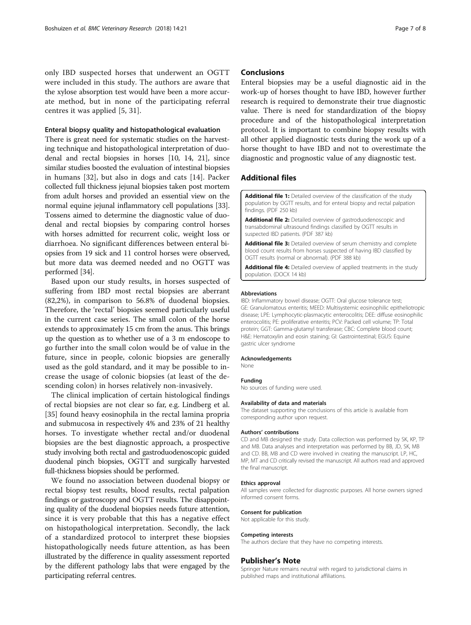<span id="page-6-0"></span>only IBD suspected horses that underwent an OGTT were included in this study. The authors are aware that the xylose absorption test would have been a more accurate method, but in none of the participating referral centres it was applied [[5](#page-7-0), [31](#page-7-0)].

# Enteral biopsy quality and histopathological evaluation

There is great need for systematic studies on the harvesting technique and histopathological interpretation of duodenal and rectal biopsies in horses [[10, 14, 21\]](#page-7-0), since similar studies boosted the evaluation of intestinal biopsies in humans [[32\]](#page-7-0), but also in dogs and cats [\[14](#page-7-0)]. Packer collected full thickness jejunal biopsies taken post mortem from adult horses and provided an essential view on the normal equine jejunal inflammatory cell populations [[33](#page-7-0)]. Tossens aimed to determine the diagnostic value of duodenal and rectal biopsies by comparing control horses with horses admitted for recurrent colic, weight loss or diarrhoea. No significant differences between enteral biopsies from 19 sick and 11 control horses were observed, but more data was deemed needed and no OGTT was performed [\[34](#page-7-0)].

Based upon our study results, in horses suspected of suffering from IBD most rectal biopsies are aberrant (82,2%), in comparison to 56.8% of duodenal biopsies. Therefore, the 'rectal' biopsies seemed particularly useful in the current case series. The small colon of the horse extends to approximately 15 cm from the anus. This brings up the question as to whether use of a 3 m endoscope to go further into the small colon would be of value in the future, since in people, colonic biopsies are generally used as the gold standard, and it may be possible to increase the usage of colonic biopsies (at least of the descending colon) in horses relatively non-invasively.

The clinical implication of certain histological findings of rectal biopsies are not clear so far, e.g. Lindberg et al. [[35\]](#page-7-0) found heavy eosinophila in the rectal lamina propria and submucosa in respectively 4% and 23% of 21 healthy horses. To investigate whether rectal and/or duodenal biopsies are the best diagnostic approach, a prospective study involving both rectal and gastroduodenoscopic guided duodenal pinch biopsies, OGTT and surgically harvested full-thickness biopsies should be performed.

We found no association between duodenal biopsy or rectal biopsy test results, blood results, rectal palpation findings or gastroscopy and OGTT results. The disappointing quality of the duodenal biopsies needs future attention, since it is very probable that this has a negative effect on histopathological interpretation. Secondly, the lack of a standardized protocol to interpret these biopsies histopathologically needs future attention, as has been illustrated by the difference in quality assessment reported by the different pathology labs that were engaged by the participating referral centres.

# **Conclusions**

Enteral biopsies may be a useful diagnostic aid in the work-up of horses thought to have IBD, however further research is required to demonstrate their true diagnostic value. There is need for standardization of the biopsy procedure and of the histopathological interpretation protocol. It is important to combine biopsy results with all other applied diagnostic tests during the work up of a horse thought to have IBD and not to overestimate the diagnostic and prognostic value of any diagnostic test.

# Additional files

[Additional file 1:](dx.doi.org/10.1186/s12917-018-1343-1) Detailed overview of the classification of the study population by OGTT results, and for enteral biopsy and rectal palpation findings. (PDF 250 kb)

[Additional file 2:](dx.doi.org/10.1186/s12917-018-1343-1) Detailed overview of gastroduodenoscopic and transabdominal ultrasound findings classified by OGTT results in suspected IBD patients. (PDF 387 kb)

[Additional file 3:](dx.doi.org/10.1186/s12917-018-1343-1) Detailed overview of serum chemistry and complete blood count results from horses suspected of having IBD classified by OGTT results (normal or abnormal). (PDF 388 kb)

[Additional file 4:](dx.doi.org/10.1186/s12917-018-1343-1) Detailed overview of applied treatments in the study population. (DOCX 14 kb)

#### Abbreviations

IBD: Inflammatory bowel disease; OGTT: Oral glucose tolerance test; GE: Granulomatous enteritis; MEED: Multisystemic eosinophilic epitheliotropic disease; LPE: Lymphocytic-plasmacytic enterocolitis; DEE: diffuse eosinophilic enterocolitis; PE: proliferative enteritis; PCV: Packed cell volume; TP: Total protein; GGT: Gamma-glutamyl transferase; CBC: Complete blood count; H&E: Hematoxylin and eosin staining; GI: Gastrointestinal; EGUS: Equine gastric ulcer syndrome

#### Acknowledgements

None

#### Funding

No sources of funding were used.

#### Availability of data and materials

The dataset supporting the conclusions of this article is available from corresponding author upon request.

#### Authors' contributions

CD and MB designed the study. Data collection was performed by SK, KP, TP and MB. Data analyses and interpretation was performed by BB, JD, SK, MB and CD. BB, MB and CD were involved in creating the manuscript. LP, HC, MP, MT and CD critically revised the manuscript. All authors read and approved the final manuscript.

#### Ethics approval

All samples were collected for diagnostic purposes. All horse owners signed informed consent forms.

#### Consent for publication

Not applicable for this study.

#### Competing interests

The authors declare that they have no competing interests.

#### Publisher's Note

Springer Nature remains neutral with regard to jurisdictional claims in published maps and institutional affiliations.